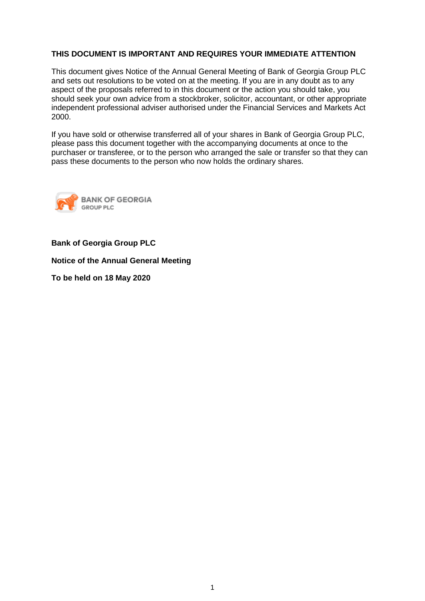# **THIS DOCUMENT IS IMPORTANT AND REQUIRES YOUR IMMEDIATE ATTENTION**

This document gives Notice of the Annual General Meeting of Bank of Georgia Group PLC and sets out resolutions to be voted on at the meeting. If you are in any doubt as to any aspect of the proposals referred to in this document or the action you should take, you should seek your own advice from a stockbroker, solicitor, accountant, or other appropriate independent professional adviser authorised under the Financial Services and Markets Act 2000.

If you have sold or otherwise transferred all of your shares in Bank of Georgia Group PLC, please pass this document together with the accompanying documents at once to the purchaser or transferee, or to the person who arranged the sale or transfer so that they can pass these documents to the person who now holds the ordinary shares.



## **Bank of Georgia Group PLC**

**Notice of the Annual General Meeting**

**To be held on 18 May 2020**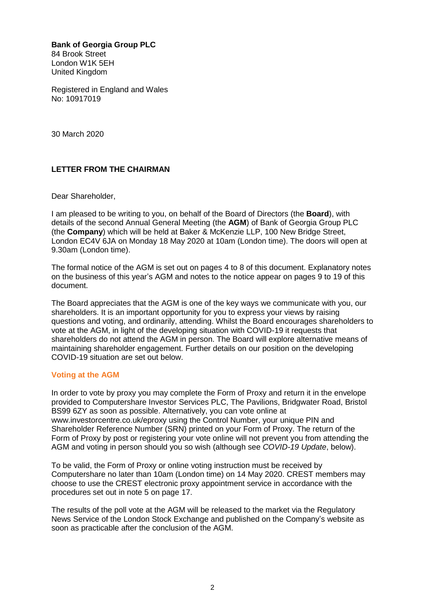**Bank of Georgia Group PLC** 84 Brook Street London W1K 5EH United Kingdom

Registered in England and Wales No: 10917019

30 March 2020

# **LETTER FROM THE CHAIRMAN**

Dear Shareholder,

I am pleased to be writing to you, on behalf of the Board of Directors (the **Board**), with details of the second Annual General Meeting (the **AGM**) of Bank of Georgia Group PLC (the **Company**) which will be held at Baker & McKenzie LLP, 100 New Bridge Street, London EC4V 6JA on Monday 18 May 2020 at 10am (London time). The doors will open at 9.30am (London time).

The formal notice of the AGM is set out on pages 4 to 8 of this document. Explanatory notes on the business of this year's AGM and notes to the notice appear on pages 9 to 19 of this document.

The Board appreciates that the AGM is one of the key ways we communicate with you, our shareholders. It is an important opportunity for you to express your views by raising questions and voting, and ordinarily, attending. Whilst the Board encourages shareholders to vote at the AGM, in light of the developing situation with COVID-19 it requests that shareholders do not attend the AGM in person. The Board will explore alternative means of maintaining shareholder engagement. Further details on our position on the developing COVID-19 situation are set out below.

## **Voting at the AGM**

In order to vote by proxy you may complete the Form of Proxy and return it in the envelope provided to Computershare Investor Services PLC, The Pavilions, Bridgwater Road, Bristol BS99 6ZY as soon as possible. Alternatively, you can vote online at www.investorcentre.co.uk/eproxy using the Control Number, your unique PIN and Shareholder Reference Number (SRN) printed on your Form of Proxy. The return of the Form of Proxy by post or registering your vote online will not prevent you from attending the AGM and voting in person should you so wish (although see *COVID-19 Update*, below).

To be valid, the Form of Proxy or online voting instruction must be received by Computershare no later than 10am (London time) on 14 May 2020. CREST members may choose to use the CREST electronic proxy appointment service in accordance with the procedures set out in note 5 on page 17.

The results of the poll vote at the AGM will be released to the market via the Regulatory News Service of the London Stock Exchange and published on the Company's website as soon as practicable after the conclusion of the AGM.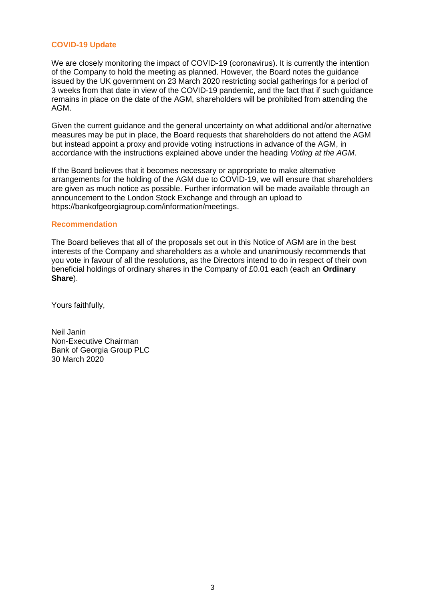## **COVID-19 Update**

We are closely monitoring the impact of COVID-19 (coronavirus). It is currently the intention of the Company to hold the meeting as planned. However, the Board notes the guidance issued by the UK government on 23 March 2020 restricting social gatherings for a period of 3 weeks from that date in view of the COVID-19 pandemic, and the fact that if such guidance remains in place on the date of the AGM, shareholders will be prohibited from attending the AGM.

Given the current guidance and the general uncertainty on what additional and/or alternative measures may be put in place, the Board requests that shareholders do not attend the AGM but instead appoint a proxy and provide voting instructions in advance of the AGM, in accordance with the instructions explained above under the heading *Voting at the AGM*.

If the Board believes that it becomes necessary or appropriate to make alternative arrangements for the holding of the AGM due to COVID-19, we will ensure that shareholders are given as much notice as possible. Further information will be made available through an announcement to the London Stock Exchange and through an upload to https://bankofgeorgiagroup.com/information/meetings.

#### **Recommendation**

The Board believes that all of the proposals set out in this Notice of AGM are in the best interests of the Company and shareholders as a whole and unanimously recommends that you vote in favour of all the resolutions, as the Directors intend to do in respect of their own beneficial holdings of ordinary shares in the Company of £0.01 each (each an **Ordinary Share**).

Yours faithfully,

Neil Janin Non-Executive Chairman Bank of Georgia Group PLC 30 March 2020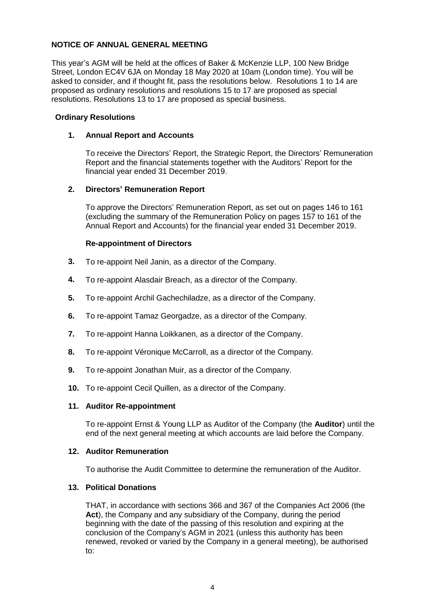# **NOTICE OF ANNUAL GENERAL MEETING**

This year's AGM will be held at the offices of Baker & McKenzie LLP, 100 New Bridge Street, London EC4V 6JA on Monday 18 May 2020 at 10am (London time). You will be asked to consider, and if thought fit, pass the resolutions below. Resolutions 1 to 14 are proposed as ordinary resolutions and resolutions 15 to 17 are proposed as special resolutions. Resolutions 13 to 17 are proposed as special business.

## **Ordinary Resolutions**

#### **1. Annual Report and Accounts**

To receive the Directors' Report, the Strategic Report, the Directors' Remuneration Report and the financial statements together with the Auditors' Report for the financial year ended 31 December 2019.

## **2. Directors' Remuneration Report**

To approve the Directors' Remuneration Report, as set out on pages 146 to 161 (excluding the summary of the Remuneration Policy on pages 157 to 161 of the Annual Report and Accounts) for the financial year ended 31 December 2019.

#### **Re-appointment of Directors**

- **3.** To re-appoint Neil Janin, as a director of the Company.
- **4.** To re-appoint Alasdair Breach, as a director of the Company.
- **5.** To re-appoint Archil Gachechiladze, as a director of the Company.
- **6.** To re-appoint Tamaz Georgadze, as a director of the Company.
- **7.** To re-appoint Hanna Loikkanen, as a director of the Company.
- **8.** To re-appoint Véronique McCarroll, as a director of the Company.
- **9.** To re-appoint Jonathan Muir, as a director of the Company.
- **10.** To re-appoint Cecil Quillen, as a director of the Company.

#### **11. Auditor Re-appointment**

To re-appoint Ernst & Young LLP as Auditor of the Company (the **Auditor**) until the end of the next general meeting at which accounts are laid before the Company.

#### **12. Auditor Remuneration**

To authorise the Audit Committee to determine the remuneration of the Auditor.

#### **13. Political Donations**

THAT, in accordance with sections 366 and 367 of the Companies Act 2006 (the **Act**), the Company and any subsidiary of the Company, during the period beginning with the date of the passing of this resolution and expiring at the conclusion of the Company's AGM in 2021 (unless this authority has been renewed, revoked or varied by the Company in a general meeting), be authorised to: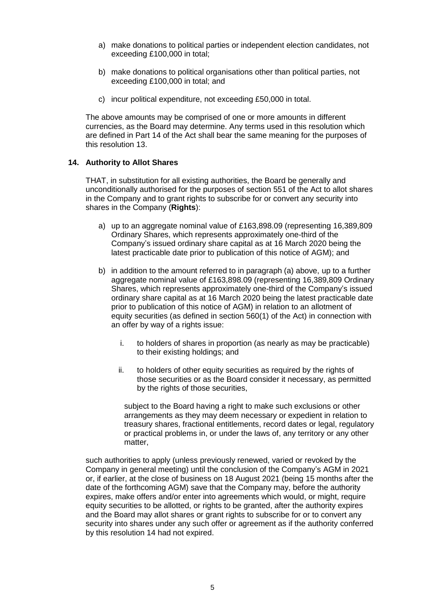- a) make donations to political parties or independent election candidates, not exceeding £100,000 in total;
- b) make donations to political organisations other than political parties, not exceeding £100,000 in total; and
- c) incur political expenditure, not exceeding £50,000 in total.

The above amounts may be comprised of one or more amounts in different currencies, as the Board may determine. Any terms used in this resolution which are defined in Part 14 of the Act shall bear the same meaning for the purposes of this resolution 13.

## **14. Authority to Allot Shares**

THAT, in substitution for all existing authorities, the Board be generally and unconditionally authorised for the purposes of section 551 of the Act to allot shares in the Company and to grant rights to subscribe for or convert any security into shares in the Company (**Rights**):

- a) up to an aggregate nominal value of £163,898.09 (representing 16,389,809 Ordinary Shares, which represents approximately one-third of the Company's issued ordinary share capital as at 16 March 2020 being the latest practicable date prior to publication of this notice of AGM); and
- b) in addition to the amount referred to in paragraph (a) above, up to a further aggregate nominal value of £163,898.09 (representing 16,389,809 Ordinary Shares, which represents approximately one-third of the Company's issued ordinary share capital as at 16 March 2020 being the latest practicable date prior to publication of this notice of AGM) in relation to an allotment of equity securities (as defined in section 560(1) of the Act) in connection with an offer by way of a rights issue:
	- i. to holders of shares in proportion (as nearly as may be practicable) to their existing holdings; and
	- ii. to holders of other equity securities as required by the rights of those securities or as the Board consider it necessary, as permitted by the rights of those securities.

subject to the Board having a right to make such exclusions or other arrangements as they may deem necessary or expedient in relation to treasury shares, fractional entitlements, record dates or legal, regulatory or practical problems in, or under the laws of, any territory or any other matter,

such authorities to apply (unless previously renewed, varied or revoked by the Company in general meeting) until the conclusion of the Company's AGM in 2021 or, if earlier, at the close of business on 18 August 2021 (being 15 months after the date of the forthcoming AGM) save that the Company may, before the authority expires, make offers and/or enter into agreements which would, or might, require equity securities to be allotted, or rights to be granted, after the authority expires and the Board may allot shares or grant rights to subscribe for or to convert any security into shares under any such offer or agreement as if the authority conferred by this resolution 14 had not expired.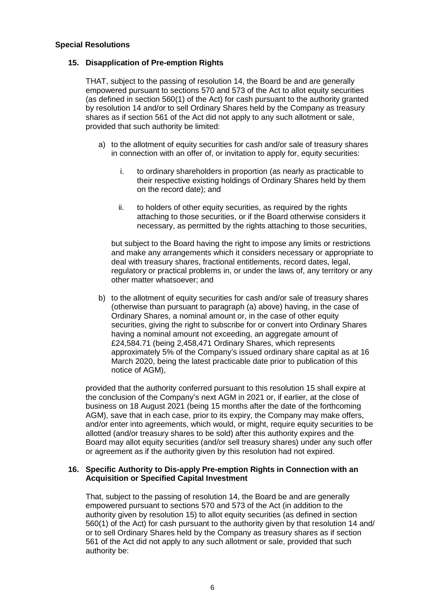#### **Special Resolutions**

## **15. Disapplication of Pre-emption Rights**

THAT, subject to the passing of resolution 14, the Board be and are generally empowered pursuant to sections 570 and 573 of the Act to allot equity securities (as defined in section 560(1) of the Act) for cash pursuant to the authority granted by resolution 14 and/or to sell Ordinary Shares held by the Company as treasury shares as if section 561 of the Act did not apply to any such allotment or sale, provided that such authority be limited:

- a) to the allotment of equity securities for cash and/or sale of treasury shares in connection with an offer of, or invitation to apply for, equity securities:
	- i. to ordinary shareholders in proportion (as nearly as practicable to their respective existing holdings of Ordinary Shares held by them on the record date); and
	- ii. to holders of other equity securities, as required by the rights attaching to those securities, or if the Board otherwise considers it necessary, as permitted by the rights attaching to those securities,

but subject to the Board having the right to impose any limits or restrictions and make any arrangements which it considers necessary or appropriate to deal with treasury shares, fractional entitlements, record dates, legal, regulatory or practical problems in, or under the laws of, any territory or any other matter whatsoever; and

b) to the allotment of equity securities for cash and/or sale of treasury shares (otherwise than pursuant to paragraph (a) above) having, in the case of Ordinary Shares, a nominal amount or, in the case of other equity securities, giving the right to subscribe for or convert into Ordinary Shares having a nominal amount not exceeding, an aggregate amount of £24,584.71 (being 2,458,471 Ordinary Shares, which represents approximately 5% of the Company's issued ordinary share capital as at 16 March 2020, being the latest practicable date prior to publication of this notice of AGM),

provided that the authority conferred pursuant to this resolution 15 shall expire at the conclusion of the Company's next AGM in 2021 or, if earlier, at the close of business on 18 August 2021 (being 15 months after the date of the forthcoming AGM), save that in each case, prior to its expiry, the Company may make offers, and/or enter into agreements, which would, or might, require equity securities to be allotted (and/or treasury shares to be sold) after this authority expires and the Board may allot equity securities (and/or sell treasury shares) under any such offer or agreement as if the authority given by this resolution had not expired.

#### **16. Specific Authority to Dis-apply Pre-emption Rights in Connection with an Acquisition or Specified Capital Investment**

That, subject to the passing of resolution 14, the Board be and are generally empowered pursuant to sections 570 and 573 of the Act (in addition to the authority given by resolution 15) to allot equity securities (as defined in section 560(1) of the Act) for cash pursuant to the authority given by that resolution 14 and/ or to sell Ordinary Shares held by the Company as treasury shares as if section 561 of the Act did not apply to any such allotment or sale, provided that such authority be: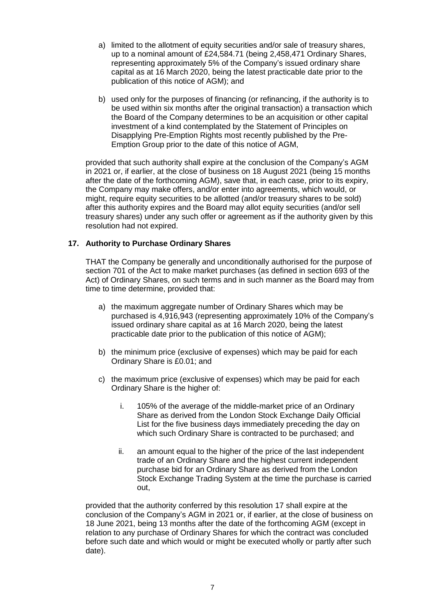- a) limited to the allotment of equity securities and/or sale of treasury shares, up to a nominal amount of £24,584.71 (being 2,458,471 Ordinary Shares, representing approximately 5% of the Company's issued ordinary share capital as at 16 March 2020, being the latest practicable date prior to the publication of this notice of AGM); and
- b) used only for the purposes of financing (or refinancing, if the authority is to be used within six months after the original transaction) a transaction which the Board of the Company determines to be an acquisition or other capital investment of a kind contemplated by the Statement of Principles on Disapplying Pre-Emption Rights most recently published by the Pre-Emption Group prior to the date of this notice of AGM,

provided that such authority shall expire at the conclusion of the Company's AGM in 2021 or, if earlier, at the close of business on 18 August 2021 (being 15 months after the date of the forthcoming AGM), save that, in each case, prior to its expiry, the Company may make offers, and/or enter into agreements, which would, or might, require equity securities to be allotted (and/or treasury shares to be sold) after this authority expires and the Board may allot equity securities (and/or sell treasury shares) under any such offer or agreement as if the authority given by this resolution had not expired.

# **17. Authority to Purchase Ordinary Shares**

THAT the Company be generally and unconditionally authorised for the purpose of section 701 of the Act to make market purchases (as defined in section 693 of the Act) of Ordinary Shares, on such terms and in such manner as the Board may from time to time determine, provided that:

- a) the maximum aggregate number of Ordinary Shares which may be purchased is 4,916,943 (representing approximately 10% of the Company's issued ordinary share capital as at 16 March 2020, being the latest practicable date prior to the publication of this notice of AGM);
- b) the minimum price (exclusive of expenses) which may be paid for each Ordinary Share is £0.01; and
- c) the maximum price (exclusive of expenses) which may be paid for each Ordinary Share is the higher of:
	- i. 105% of the average of the middle-market price of an Ordinary Share as derived from the London Stock Exchange Daily Official List for the five business days immediately preceding the day on which such Ordinary Share is contracted to be purchased; and
	- ii. an amount equal to the higher of the price of the last independent trade of an Ordinary Share and the highest current independent purchase bid for an Ordinary Share as derived from the London Stock Exchange Trading System at the time the purchase is carried out,

provided that the authority conferred by this resolution 17 shall expire at the conclusion of the Company's AGM in 2021 or, if earlier, at the close of business on 18 June 2021, being 13 months after the date of the forthcoming AGM (except in relation to any purchase of Ordinary Shares for which the contract was concluded before such date and which would or might be executed wholly or partly after such date).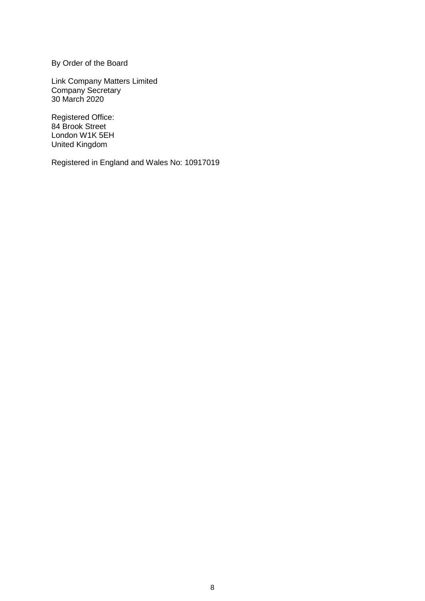By Order of the Board

Link Company Matters Limited Company Secretary 30 March 2020

Registered Office: 84 Brook Street London W1K 5EH United Kingdom

Registered in England and Wales No: 10917019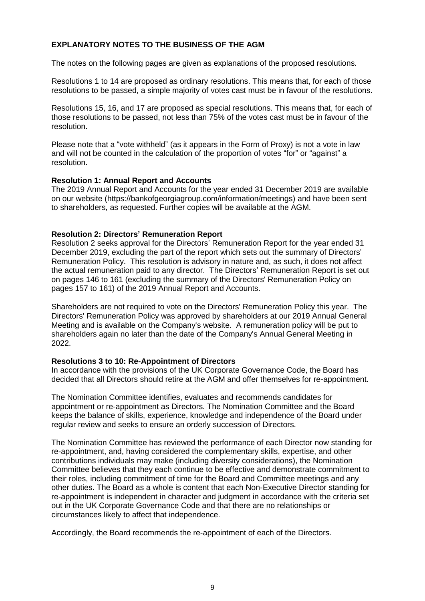# **EXPLANATORY NOTES TO THE BUSINESS OF THE AGM**

The notes on the following pages are given as explanations of the proposed resolutions.

Resolutions 1 to 14 are proposed as ordinary resolutions. This means that, for each of those resolutions to be passed, a simple majority of votes cast must be in favour of the resolutions.

Resolutions 15, 16, and 17 are proposed as special resolutions. This means that, for each of those resolutions to be passed, not less than 75% of the votes cast must be in favour of the resolution.

Please note that a "vote withheld" (as it appears in the Form of Proxy) is not a vote in law and will not be counted in the calculation of the proportion of votes "for" or "against" a resolution.

#### **Resolution 1: Annual Report and Accounts**

The 2019 Annual Report and Accounts for the year ended 31 December 2019 are available on our website (https://bankofgeorgiagroup.com/information/meetings) and have been sent to shareholders, as requested. Further copies will be available at the AGM.

## **Resolution 2: Directors' Remuneration Report**

Resolution 2 seeks approval for the Directors' Remuneration Report for the year ended 31 December 2019, excluding the part of the report which sets out the summary of Directors' Remuneration Policy. This resolution is advisory in nature and, as such, it does not affect the actual remuneration paid to any director. The Directors' Remuneration Report is set out on pages 146 to 161 (excluding the summary of the Directors' Remuneration Policy on pages 157 to 161) of the 2019 Annual Report and Accounts.

Shareholders are not required to vote on the Directors' Remuneration Policy this year. The Directors' Remuneration Policy was approved by shareholders at our 2019 Annual General Meeting and is available on the Company's website. A remuneration policy will be put to shareholders again no later than the date of the Company's Annual General Meeting in 2022.

#### **Resolutions 3 to 10: Re-Appointment of Directors**

In accordance with the provisions of the UK Corporate Governance Code, the Board has decided that all Directors should retire at the AGM and offer themselves for re-appointment.

The Nomination Committee identifies, evaluates and recommends candidates for appointment or re-appointment as Directors. The Nomination Committee and the Board keeps the balance of skills, experience, knowledge and independence of the Board under regular review and seeks to ensure an orderly succession of Directors.

The Nomination Committee has reviewed the performance of each Director now standing for re-appointment, and, having considered the complementary skills, expertise, and other contributions individuals may make (including diversity considerations), the Nomination Committee believes that they each continue to be effective and demonstrate commitment to their roles, including commitment of time for the Board and Committee meetings and any other duties. The Board as a whole is content that each Non-Executive Director standing for re-appointment is independent in character and judgment in accordance with the criteria set out in the UK Corporate Governance Code and that there are no relationships or circumstances likely to affect that independence.

Accordingly, the Board recommends the re-appointment of each of the Directors.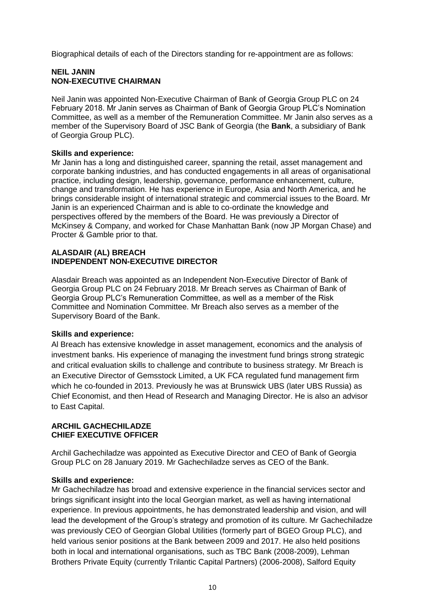Biographical details of each of the Directors standing for re-appointment are as follows:

#### **NEIL JANIN NON-EXECUTIVE CHAIRMAN**

Neil Janin was appointed Non-Executive Chairman of Bank of Georgia Group PLC on 24 February 2018. Mr Janin serves as Chairman of Bank of Georgia Group PLC's Nomination Committee, as well as a member of the Remuneration Committee. Mr Janin also serves as a member of the Supervisory Board of JSC Bank of Georgia (the **Bank**, a subsidiary of Bank of Georgia Group PLC).

#### **Skills and experience:**

Mr Janin has a long and distinguished career, spanning the retail, asset management and corporate banking industries, and has conducted engagements in all areas of organisational practice, including design, leadership, governance, performance enhancement, culture, change and transformation. He has experience in Europe, Asia and North America, and he brings considerable insight of international strategic and commercial issues to the Board. Mr Janin is an experienced Chairman and is able to co-ordinate the knowledge and perspectives offered by the members of the Board. He was previously a Director of McKinsey & Company, and worked for Chase Manhattan Bank (now JP Morgan Chase) and Procter & Gamble prior to that.

#### **ALASDAIR (AL) BREACH INDEPENDENT NON-EXECUTIVE DIRECTOR**

Alasdair Breach was appointed as an Independent Non-Executive Director of Bank of Georgia Group PLC on 24 February 2018. Mr Breach serves as Chairman of Bank of Georgia Group PLC's Remuneration Committee, as well as a member of the Risk Committee and Nomination Committee. Mr Breach also serves as a member of the Supervisory Board of the Bank.

## **Skills and experience:**

Al Breach has extensive knowledge in asset management, economics and the analysis of investment banks. His experience of managing the investment fund brings strong strategic and critical evaluation skills to challenge and contribute to business strategy. Mr Breach is an Executive Director of Gemsstock Limited, a UK FCA regulated fund management firm which he co-founded in 2013. Previously he was at Brunswick UBS (later UBS Russia) as Chief Economist, and then Head of Research and Managing Director. He is also an advisor to East Capital.

#### **ARCHIL GACHECHILADZE CHIEF EXECUTIVE OFFICER**

Archil Gachechiladze was appointed as Executive Director and CEO of Bank of Georgia Group PLC on 28 January 2019. Mr Gachechiladze serves as CEO of the Bank.

#### **Skills and experience:**

Mr Gachechiladze has broad and extensive experience in the financial services sector and brings significant insight into the local Georgian market, as well as having international experience. In previous appointments, he has demonstrated leadership and vision, and will lead the development of the Group's strategy and promotion of its culture. Mr Gachechiladze was previously CEO of Georgian Global Utilities (formerly part of BGEO Group PLC), and held various senior positions at the Bank between 2009 and 2017. He also held positions both in local and international organisations, such as TBC Bank (2008-2009), Lehman Brothers Private Equity (currently Trilantic Capital Partners) (2006-2008), Salford Equity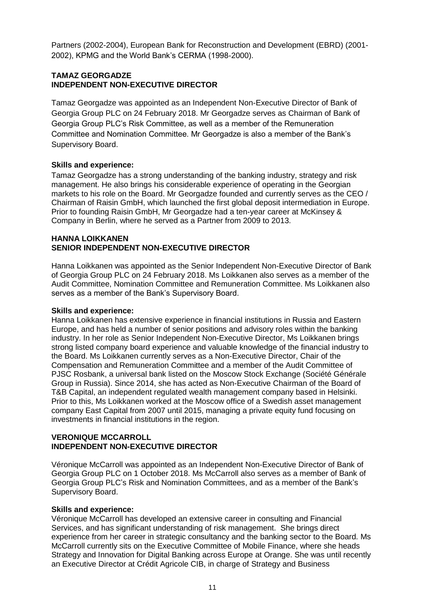Partners (2002-2004), European Bank for Reconstruction and Development (EBRD) (2001- 2002), KPMG and the World Bank's CERMA (1998-2000).

#### **TAMAZ GEORGADZE INDEPENDENT NON-EXECUTIVE DIRECTOR**

Tamaz Georgadze was appointed as an Independent Non-Executive Director of Bank of Georgia Group PLC on 24 February 2018. Mr Georgadze serves as Chairman of Bank of Georgia Group PLC's Risk Committee, as well as a member of the Remuneration Committee and Nomination Committee. Mr Georgadze is also a member of the Bank's Supervisory Board.

# **Skills and experience:**

Tamaz Georgadze has a strong understanding of the banking industry, strategy and risk management. He also brings his considerable experience of operating in the Georgian markets to his role on the Board. Mr Georgadze founded and currently serves as the CEO / Chairman of Raisin GmbH, which launched the first global deposit intermediation in Europe. Prior to founding Raisin GmbH, Mr Georgadze had a ten-year career at McKinsey & Company in Berlin, where he served as a Partner from 2009 to 2013.

#### **HANNA LOIKKANEN SENIOR INDEPENDENT NON-EXECUTIVE DIRECTOR**

Hanna Loikkanen was appointed as the Senior Independent Non-Executive Director of Bank of Georgia Group PLC on 24 February 2018. Ms Loikkanen also serves as a member of the Audit Committee, Nomination Committee and Remuneration Committee. Ms Loikkanen also serves as a member of the Bank's Supervisory Board.

## **Skills and experience:**

Hanna Loikkanen has extensive experience in financial institutions in Russia and Eastern Europe, and has held a number of senior positions and advisory roles within the banking industry. In her role as Senior Independent Non-Executive Director, Ms Loikkanen brings strong listed company board experience and valuable knowledge of the financial industry to the Board. Ms Loikkanen currently serves as a Non-Executive Director, Chair of the Compensation and Remuneration Committee and a member of the Audit Committee of PJSC Rosbank, a universal bank listed on the Moscow Stock Exchange (Société Générale Group in Russia). Since 2014, she has acted as Non-Executive Chairman of the Board of T&B Capital, an independent regulated wealth management company based in Helsinki. Prior to this, Ms Loikkanen worked at the Moscow office of a Swedish asset management company East Capital from 2007 until 2015, managing a private equity fund focusing on investments in financial institutions in the region.

## **VERONIQUE MCCARROLL INDEPENDENT NON-EXECUTIVE DIRECTOR**

Véronique McCarroll was appointed as an Independent Non-Executive Director of Bank of Georgia Group PLC on 1 October 2018. Ms McCarroll also serves as a member of Bank of Georgia Group PLC's Risk and Nomination Committees, and as a member of the Bank's Supervisory Board.

# **Skills and experience:**

Véronique McCarroll has developed an extensive career in consulting and Financial Services, and has significant understanding of risk management. She brings direct experience from her career in strategic consultancy and the banking sector to the Board. Ms McCarroll currently sits on the Executive Committee of Mobile Finance, where she heads Strategy and Innovation for Digital Banking across Europe at Orange. She was until recently an Executive Director at Crédit Agricole CIB, in charge of Strategy and Business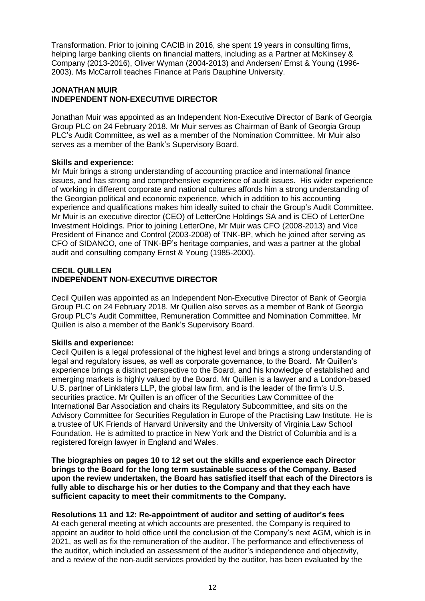Transformation. Prior to joining CACIB in 2016, she spent 19 years in consulting firms, helping large banking clients on financial matters, including as a Partner at McKinsey & Company (2013-2016), Oliver Wyman (2004-2013) and Andersen/ Ernst & Young (1996- 2003). Ms McCarroll teaches Finance at Paris Dauphine University.

## **JONATHAN MUIR INDEPENDENT NON-EXECUTIVE DIRECTOR**

Jonathan Muir was appointed as an Independent Non-Executive Director of Bank of Georgia Group PLC on 24 February 2018. Mr Muir serves as Chairman of Bank of Georgia Group PLC's Audit Committee, as well as a member of the Nomination Committee. Mr Muir also serves as a member of the Bank's Supervisory Board.

# **Skills and experience:**

Mr Muir brings a strong understanding of accounting practice and international finance issues, and has strong and comprehensive experience of audit issues. His wider experience of working in different corporate and national cultures affords him a strong understanding of the Georgian political and economic experience, which in addition to his accounting experience and qualifications makes him ideally suited to chair the Group's Audit Committee. Mr Muir is an executive director (CEO) of LetterOne Holdings SA and is CEO of LetterOne Investment Holdings. Prior to joining LetterOne, Mr Muir was CFO (2008-2013) and Vice President of Finance and Control (2003-2008) of TNK-BP, which he joined after serving as CFO of SIDANCO, one of TNK-BP's heritage companies, and was a partner at the global audit and consulting company Ernst & Young (1985-2000).

## **CECIL QUILLEN INDEPENDENT NON-EXECUTIVE DIRECTOR**

Cecil Quillen was appointed as an Independent Non-Executive Director of Bank of Georgia Group PLC on 24 February 2018. Mr Quillen also serves as a member of Bank of Georgia Group PLC's Audit Committee, Remuneration Committee and Nomination Committee. Mr Quillen is also a member of the Bank's Supervisory Board.

# **Skills and experience:**

Cecil Quillen is a legal professional of the highest level and brings a strong understanding of legal and regulatory issues, as well as corporate governance, to the Board. Mr Quillen's experience brings a distinct perspective to the Board, and his knowledge of established and emerging markets is highly valued by the Board. Mr Quillen is a lawyer and a London-based U.S. partner of Linklaters LLP, the global law firm, and is the leader of the firm's U.S. securities practice. Mr Quillen is an officer of the Securities Law Committee of the International Bar Association and chairs its Regulatory Subcommittee, and sits on the Advisory Committee for Securities Regulation in Europe of the Practising Law Institute. He is a trustee of UK Friends of Harvard University and the University of Virginia Law School Foundation. He is admitted to practice in New York and the District of Columbia and is a registered foreign lawyer in England and Wales.

**The biographies on pages 10 to 12 set out the skills and experience each Director brings to the Board for the long term sustainable success of the Company. Based upon the review undertaken, the Board has satisfied itself that each of the Directors is fully able to discharge his or her duties to the Company and that they each have sufficient capacity to meet their commitments to the Company.**

# **Resolutions 11 and 12: Re-appointment of auditor and setting of auditor's fees**

At each general meeting at which accounts are presented, the Company is required to appoint an auditor to hold office until the conclusion of the Company's next AGM, which is in 2021, as well as fix the remuneration of the auditor. The performance and effectiveness of the auditor, which included an assessment of the auditor's independence and objectivity, and a review of the non-audit services provided by the auditor, has been evaluated by the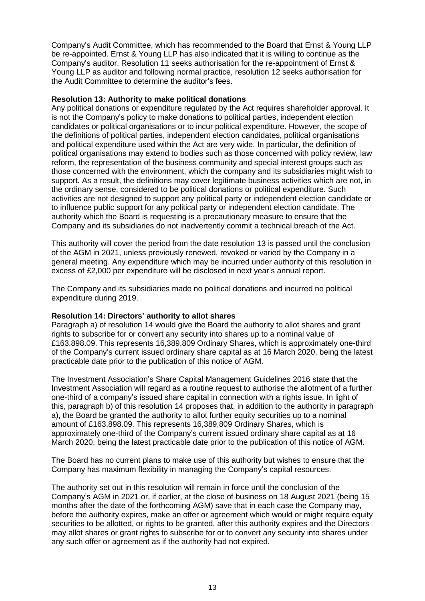Company's Audit Committee, which has recommended to the Board that Ernst & Young LLP be re-appointed. Ernst & Young LLP has also indicated that it is willing to continue as the Company's auditor. Resolution 11 seeks authorisation for the re-appointment of Ernst & Young LLP as auditor and following normal practice, resolution 12 seeks authorisation for the Audit Committee to determine the auditor's fees.

#### **Resolution 13: Authority to make political donations**

Any political donations or expenditure regulated by the Act requires shareholder approval. It is not the Company's policy to make donations to political parties, independent election candidates or political organisations or to incur political expenditure. However, the scope of the definitions of political parties, independent election candidates, political organisations and political expenditure used within the Act are very wide. In particular, the definition of political organisations may extend to bodies such as those concerned with policy review, law reform, the representation of the business community and special interest groups such as those concerned with the environment, which the company and its subsidiaries might wish to support. As a result, the definitions may cover legitimate business activities which are not, in the ordinary sense, considered to be political donations or political expenditure. Such activities are not designed to support any political party or independent election candidate or to influence public support for any political party or independent election candidate. The authority which the Board is requesting is a precautionary measure to ensure that the Company and its subsidiaries do not inadvertently commit a technical breach of the Act.

This authority will cover the period from the date resolution 13 is passed until the conclusion of the AGM in 2021, unless previously renewed, revoked or varied by the Company in a general meeting. Any expenditure which may be incurred under authority of this resolution in excess of £2,000 per expenditure will be disclosed in next year's annual report.

The Company and its subsidiaries made no political donations and incurred no political expenditure during 2019.

## **Resolution 14: Directors' authority to allot shares**

Paragraph a) of resolution 14 would give the Board the authority to allot shares and grant rights to subscribe for or convert any security into shares up to a nominal value of £163,898.09. This represents 16,389,809 Ordinary Shares, which is approximately one-third of the Company's current issued ordinary share capital as at 16 March 2020, being the latest practicable date prior to the publication of this notice of AGM.

The Investment Association's Share Capital Management Guidelines 2016 state that the Investment Association will regard as a routine request to authorise the allotment of a further one-third of a company's issued share capital in connection with a rights issue. In light of this, paragraph b) of this resolution 14 proposes that, in addition to the authority in paragraph a), the Board be granted the authority to allot further equity securities up to a nominal amount of £163,898.09. This represents 16,389,809 Ordinary Shares, which is approximately one-third of the Company's current issued ordinary share capital as at 16 March 2020, being the latest practicable date prior to the publication of this notice of AGM.

The Board has no current plans to make use of this authority but wishes to ensure that the Company has maximum flexibility in managing the Company's capital resources.

The authority set out in this resolution will remain in force until the conclusion of the Company's AGM in 2021 or, if earlier, at the close of business on 18 August 2021 (being 15 months after the date of the forthcoming AGM) save that in each case the Company may, before the authority expires, make an offer or agreement which would or might require equity securities to be allotted, or rights to be granted, after this authority expires and the Directors may allot shares or grant rights to subscribe for or to convert any security into shares under any such offer or agreement as if the authority had not expired.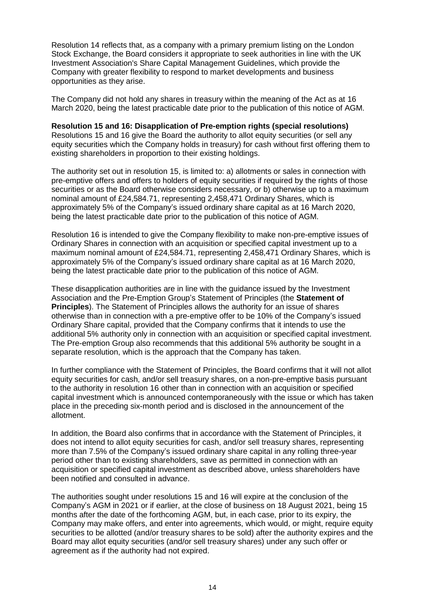Resolution 14 reflects that, as a company with a primary premium listing on the London Stock Exchange, the Board considers it appropriate to seek authorities in line with the UK Investment Association's Share Capital Management Guidelines, which provide the Company with greater flexibility to respond to market developments and business opportunities as they arise.

The Company did not hold any shares in treasury within the meaning of the Act as at 16 March 2020, being the latest practicable date prior to the publication of this notice of AGM.

**Resolution 15 and 16: Disapplication of Pre-emption rights (special resolutions)** Resolutions 15 and 16 give the Board the authority to allot equity securities (or sell any equity securities which the Company holds in treasury) for cash without first offering them to existing shareholders in proportion to their existing holdings.

The authority set out in resolution 15, is limited to: a) allotments or sales in connection with pre-emptive offers and offers to holders of equity securities if required by the rights of those securities or as the Board otherwise considers necessary, or b) otherwise up to a maximum nominal amount of £24,584.71, representing 2,458,471 Ordinary Shares, which is approximately 5% of the Company's issued ordinary share capital as at 16 March 2020, being the latest practicable date prior to the publication of this notice of AGM.

Resolution 16 is intended to give the Company flexibility to make non-pre-emptive issues of Ordinary Shares in connection with an acquisition or specified capital investment up to a maximum nominal amount of £24,584.71, representing 2,458,471 Ordinary Shares, which is approximately 5% of the Company's issued ordinary share capital as at 16 March 2020, being the latest practicable date prior to the publication of this notice of AGM.

These disapplication authorities are in line with the guidance issued by the Investment Association and the Pre-Emption Group's Statement of Principles (the **Statement of Principles**). The Statement of Principles allows the authority for an issue of shares otherwise than in connection with a pre-emptive offer to be 10% of the Company's issued Ordinary Share capital, provided that the Company confirms that it intends to use the additional 5% authority only in connection with an acquisition or specified capital investment. The Pre-emption Group also recommends that this additional 5% authority be sought in a separate resolution, which is the approach that the Company has taken.

In further compliance with the Statement of Principles, the Board confirms that it will not allot equity securities for cash, and/or sell treasury shares, on a non-pre-emptive basis pursuant to the authority in resolution 16 other than in connection with an acquisition or specified capital investment which is announced contemporaneously with the issue or which has taken place in the preceding six-month period and is disclosed in the announcement of the allotment.

In addition, the Board also confirms that in accordance with the Statement of Principles, it does not intend to allot equity securities for cash, and/or sell treasury shares, representing more than 7.5% of the Company's issued ordinary share capital in any rolling three-year period other than to existing shareholders, save as permitted in connection with an acquisition or specified capital investment as described above, unless shareholders have been notified and consulted in advance.

The authorities sought under resolutions 15 and 16 will expire at the conclusion of the Company's AGM in 2021 or if earlier, at the close of business on 18 August 2021, being 15 months after the date of the forthcoming AGM, but, in each case, prior to its expiry, the Company may make offers, and enter into agreements, which would, or might, require equity securities to be allotted (and/or treasury shares to be sold) after the authority expires and the Board may allot equity securities (and/or sell treasury shares) under any such offer or agreement as if the authority had not expired.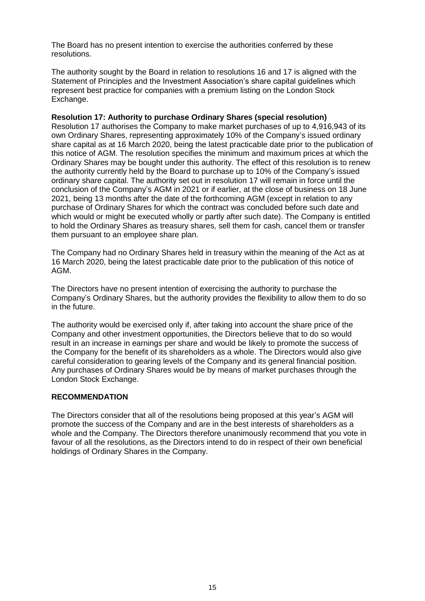The Board has no present intention to exercise the authorities conferred by these resolutions.

The authority sought by the Board in relation to resolutions 16 and 17 is aligned with the Statement of Principles and the Investment Association's share capital guidelines which represent best practice for companies with a premium listing on the London Stock Exchange.

#### **Resolution 17: Authority to purchase Ordinary Shares (special resolution)**

Resolution 17 authorises the Company to make market purchases of up to 4,916,943 of its own Ordinary Shares, representing approximately 10% of the Company's issued ordinary share capital as at 16 March 2020, being the latest practicable date prior to the publication of this notice of AGM. The resolution specifies the minimum and maximum prices at which the Ordinary Shares may be bought under this authority. The effect of this resolution is to renew the authority currently held by the Board to purchase up to 10% of the Company's issued ordinary share capital. The authority set out in resolution 17 will remain in force until the conclusion of the Company's AGM in 2021 or if earlier, at the close of business on 18 June 2021, being 13 months after the date of the forthcoming AGM (except in relation to any purchase of Ordinary Shares for which the contract was concluded before such date and which would or might be executed wholly or partly after such date). The Company is entitled to hold the Ordinary Shares as treasury shares, sell them for cash, cancel them or transfer them pursuant to an employee share plan.

The Company had no Ordinary Shares held in treasury within the meaning of the Act as at 16 March 2020, being the latest practicable date prior to the publication of this notice of AGM.

The Directors have no present intention of exercising the authority to purchase the Company's Ordinary Shares, but the authority provides the flexibility to allow them to do so in the future.

The authority would be exercised only if, after taking into account the share price of the Company and other investment opportunities, the Directors believe that to do so would result in an increase in earnings per share and would be likely to promote the success of the Company for the benefit of its shareholders as a whole. The Directors would also give careful consideration to gearing levels of the Company and its general financial position. Any purchases of Ordinary Shares would be by means of market purchases through the London Stock Exchange.

## **RECOMMENDATION**

The Directors consider that all of the resolutions being proposed at this year's AGM will promote the success of the Company and are in the best interests of shareholders as a whole and the Company. The Directors therefore unanimously recommend that you vote in favour of all the resolutions, as the Directors intend to do in respect of their own beneficial holdings of Ordinary Shares in the Company.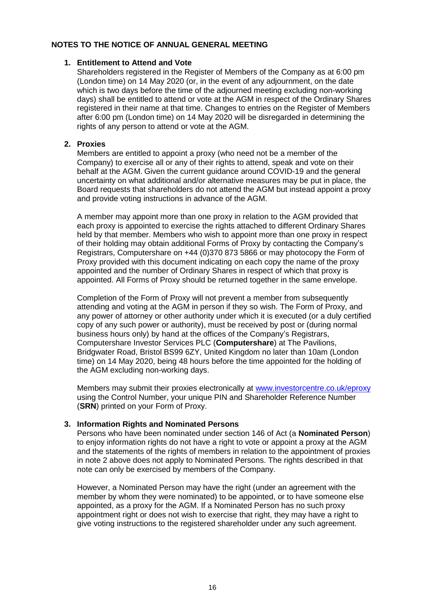## **NOTES TO THE NOTICE OF ANNUAL GENERAL MEETING**

#### **1. Entitlement to Attend and Vote**

Shareholders registered in the Register of Members of the Company as at 6:00 pm (London time) on 14 May 2020 (or, in the event of any adjournment, on the date which is two days before the time of the adjourned meeting excluding non-working days) shall be entitled to attend or vote at the AGM in respect of the Ordinary Shares registered in their name at that time. Changes to entries on the Register of Members after 6:00 pm (London time) on 14 May 2020 will be disregarded in determining the rights of any person to attend or vote at the AGM.

## **2. Proxies**

Members are entitled to appoint a proxy (who need not be a member of the Company) to exercise all or any of their rights to attend, speak and vote on their behalf at the AGM. Given the current guidance around COVID-19 and the general uncertainty on what additional and/or alternative measures may be put in place, the Board requests that shareholders do not attend the AGM but instead appoint a proxy and provide voting instructions in advance of the AGM.

A member may appoint more than one proxy in relation to the AGM provided that each proxy is appointed to exercise the rights attached to different Ordinary Shares held by that member. Members who wish to appoint more than one proxy in respect of their holding may obtain additional Forms of Proxy by contacting the Company's Registrars, Computershare on +44 (0)370 873 5866 or may photocopy the Form of Proxy provided with this document indicating on each copy the name of the proxy appointed and the number of Ordinary Shares in respect of which that proxy is appointed. All Forms of Proxy should be returned together in the same envelope.

Completion of the Form of Proxy will not prevent a member from subsequently attending and voting at the AGM in person if they so wish. The Form of Proxy, and any power of attorney or other authority under which it is executed (or a duly certified copy of any such power or authority), must be received by post or (during normal business hours only) by hand at the offices of the Company's Registrars, Computershare Investor Services PLC (**Computershare**) at The Pavilions, Bridgwater Road, Bristol BS99 6ZY, United Kingdom no later than 10am (London time) on 14 May 2020, being 48 hours before the time appointed for the holding of the AGM excluding non-working days.

Members may submit their proxies electronically at [www.investorcentre.co.uk/eproxy](http://www.investorcentre.co.uk/eproxy) using the Control Number, your unique PIN and Shareholder Reference Number (**SRN**) printed on your Form of Proxy.

## **3. Information Rights and Nominated Persons**

Persons who have been nominated under section 146 of Act (a **Nominated Person**) to enjoy information rights do not have a right to vote or appoint a proxy at the AGM and the statements of the rights of members in relation to the appointment of proxies in note 2 above does not apply to Nominated Persons. The rights described in that note can only be exercised by members of the Company.

However, a Nominated Person may have the right (under an agreement with the member by whom they were nominated) to be appointed, or to have someone else appointed, as a proxy for the AGM. If a Nominated Person has no such proxy appointment right or does not wish to exercise that right, they may have a right to give voting instructions to the registered shareholder under any such agreement.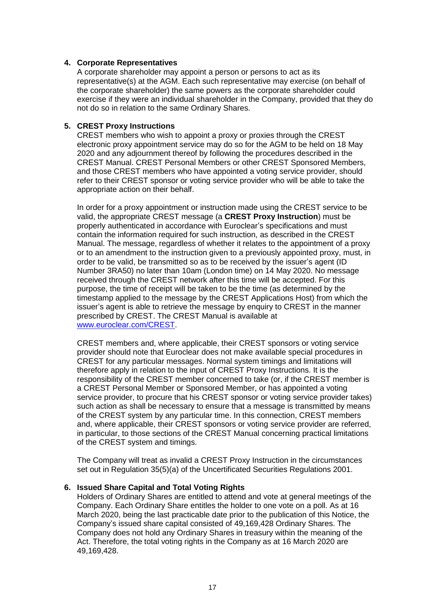## **4. Corporate Representatives**

A corporate shareholder may appoint a person or persons to act as its representative(s) at the AGM. Each such representative may exercise (on behalf of the corporate shareholder) the same powers as the corporate shareholder could exercise if they were an individual shareholder in the Company, provided that they do not do so in relation to the same Ordinary Shares.

#### **5. CREST Proxy Instructions**

CREST members who wish to appoint a proxy or proxies through the CREST electronic proxy appointment service may do so for the AGM to be held on 18 May 2020 and any adjournment thereof by following the procedures described in the CREST Manual. CREST Personal Members or other CREST Sponsored Members, and those CREST members who have appointed a voting service provider, should refer to their CREST sponsor or voting service provider who will be able to take the appropriate action on their behalf.

In order for a proxy appointment or instruction made using the CREST service to be valid, the appropriate CREST message (a **CREST Proxy Instruction**) must be properly authenticated in accordance with Euroclear's specifications and must contain the information required for such instruction, as described in the CREST Manual. The message, regardless of whether it relates to the appointment of a proxy or to an amendment to the instruction given to a previously appointed proxy, must, in order to be valid, be transmitted so as to be received by the issuer's agent (ID Number 3RA50) no later than 10am (London time) on 14 May 2020. No message received through the CREST network after this time will be accepted. For this purpose, the time of receipt will be taken to be the time (as determined by the timestamp applied to the message by the CREST Applications Host) from which the issuer's agent is able to retrieve the message by enquiry to CREST in the manner prescribed by CREST. The CREST Manual is available at [www.euroclear.com/CREST.](http://www.euroclear.com/CREST)

CREST members and, where applicable, their CREST sponsors or voting service provider should note that Euroclear does not make available special procedures in CREST for any particular messages. Normal system timings and limitations will therefore apply in relation to the input of CREST Proxy Instructions. It is the responsibility of the CREST member concerned to take (or, if the CREST member is a CREST Personal Member or Sponsored Member, or has appointed a voting service provider, to procure that his CREST sponsor or voting service provider takes) such action as shall be necessary to ensure that a message is transmitted by means of the CREST system by any particular time. In this connection, CREST members and, where applicable, their CREST sponsors or voting service provider are referred, in particular, to those sections of the CREST Manual concerning practical limitations of the CREST system and timings.

The Company will treat as invalid a CREST Proxy Instruction in the circumstances set out in Regulation 35(5)(a) of the Uncertificated Securities Regulations 2001.

#### **6. Issued Share Capital and Total Voting Rights**

Holders of Ordinary Shares are entitled to attend and vote at general meetings of the Company. Each Ordinary Share entitles the holder to one vote on a poll. As at 16 March 2020, being the last practicable date prior to the publication of this Notice, the Company's issued share capital consisted of 49,169,428 Ordinary Shares. The Company does not hold any Ordinary Shares in treasury within the meaning of the Act. Therefore, the total voting rights in the Company as at 16 March 2020 are 49,169,428.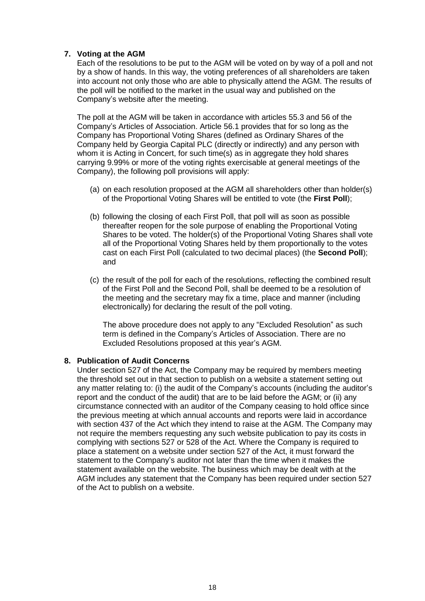## **7. Voting at the AGM**

Each of the resolutions to be put to the AGM will be voted on by way of a poll and not by a show of hands. In this way, the voting preferences of all shareholders are taken into account not only those who are able to physically attend the AGM. The results of the poll will be notified to the market in the usual way and published on the Company's website after the meeting.

The poll at the AGM will be taken in accordance with articles 55.3 and 56 of the Company's Articles of Association. Article 56.1 provides that for so long as the Company has Proportional Voting Shares (defined as Ordinary Shares of the Company held by Georgia Capital PLC (directly or indirectly) and any person with whom it is Acting in Concert, for such time(s) as in aggregate they hold shares carrying 9.99% or more of the voting rights exercisable at general meetings of the Company), the following poll provisions will apply:

- (a) on each resolution proposed at the AGM all shareholders other than holder(s) of the Proportional Voting Shares will be entitled to vote (the **First Poll**);
- (b) following the closing of each First Poll, that poll will as soon as possible thereafter reopen for the sole purpose of enabling the Proportional Voting Shares to be voted. The holder(s) of the Proportional Voting Shares shall vote all of the Proportional Voting Shares held by them proportionally to the votes cast on each First Poll (calculated to two decimal places) (the **Second Poll**); and
- (c) the result of the poll for each of the resolutions, reflecting the combined result of the First Poll and the Second Poll, shall be deemed to be a resolution of the meeting and the secretary may fix a time, place and manner (including electronically) for declaring the result of the poll voting.

The above procedure does not apply to any "Excluded Resolution" as such term is defined in the Company's Articles of Association. There are no Excluded Resolutions proposed at this year's AGM.

## **8. Publication of Audit Concerns**

Under section 527 of the Act, the Company may be required by members meeting the threshold set out in that section to publish on a website a statement setting out any matter relating to: (i) the audit of the Company's accounts (including the auditor's report and the conduct of the audit) that are to be laid before the AGM; or (ii) any circumstance connected with an auditor of the Company ceasing to hold office since the previous meeting at which annual accounts and reports were laid in accordance with section 437 of the Act which they intend to raise at the AGM. The Company may not require the members requesting any such website publication to pay its costs in complying with sections 527 or 528 of the Act. Where the Company is required to place a statement on a website under section 527 of the Act, it must forward the statement to the Company's auditor not later than the time when it makes the statement available on the website. The business which may be dealt with at the AGM includes any statement that the Company has been required under section 527 of the Act to publish on a website.